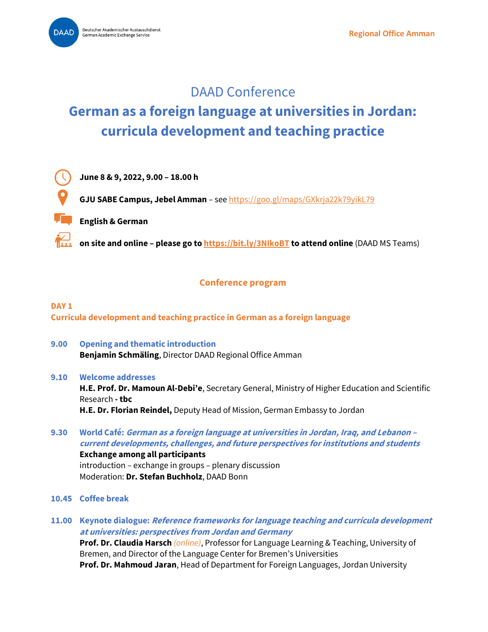# DAAD Conference

# **German as a foreign language at universities in Jordan: curricula development and teaching practice**



**June 8 & 9, 2022, 9.00 – 18.00 h**

**GJU SABE Campus, Jebel Amman** – see<https://goo.gl/maps/GXkrja22k79yikL79>

**English & German**

**on site and online – please go t[o https://bit.ly/3NIkoBT](https://bit.ly/3NIkoBT) to attend online** (DAAD MS Teams)

# **Conference program**

## **DAY 1 Curricula development and teaching practice in German as a foreign language**

**9.00 Opening and thematic introduction Benjamin Schmäling**, Director DAAD Regional Office Amman

#### **9.10 Welcome addresses**

**H.E. Prof. Dr. Mamoun Al-Debi'e**, Secretary General, Ministry of Higher Education and Scientific Research **- tbc H.E. Dr. Florian Reindel,** Deputy Head of Mission, German Embassy to Jordan

- **9.30 World Café: German as a foreign language at universities in Jordan, Iraq, and Lebanon – current developments, challenges, and future perspectives for institutions and students Exchange among all participants**  introduction – exchange in groups – plenary discussion Moderation: **Dr. Stefan Buchholz**, DAAD Bonn
- **10.45 Coffee break**
- **11.00 Keynote dialogue: Reference frameworks for language teaching and curricula development at universities: perspectives from Jordan and Germany**

**Prof. Dr. Claudia Harsch** *(online)*, Professor for Language Learning & Teaching, University of Bremen, and Director of the Language Center for Bremen's Universities **Prof. Dr. Mahmoud Jaran**, Head of Department for Foreign Languages, Jordan University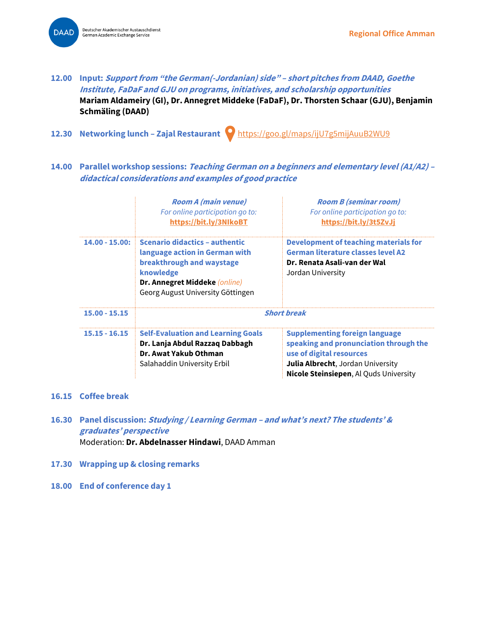Deutscher Akademischer Austauschdienst **DAAD** German Academic Exchange Service



- **12.30 Networking lunch – Zajal Restaurant** <https://goo.gl/maps/ijU7g5mijAuuB2WU9>
- **14.00 Parallel workshop sessions: Teaching German on a beginners and elementary level (A1/A2) – didactical considerations and examples of good practice**

|                  | <b>Room A (main venue)</b><br>For online participation go to:<br>https://bit.ly/3NlkoBT                                                                                          | <b>Room B (seminar room)</b><br>For online participation go to:<br>https://bit.ly/3t5ZvJj                                                                                                         |
|------------------|----------------------------------------------------------------------------------------------------------------------------------------------------------------------------------|---------------------------------------------------------------------------------------------------------------------------------------------------------------------------------------------------|
| $14.00 - 15.00:$ | Scenario didactics - authentic<br>language action in German with<br>breakthrough and waystage<br>knowledge<br>Dr. Annegret Middeke (online)<br>Georg August University Göttingen | Development of teaching materials for<br><b>German literature classes level A2</b><br>Dr. Renata Asali-van der Wal<br>Jordan University                                                           |
| $15.00 - 15.15$  | <b>Short break</b>                                                                                                                                                               |                                                                                                                                                                                                   |
| $15.15 - 16.15$  | <b>Self-Evaluation and Learning Goals</b><br>Dr. Lanja Abdul Razzaq Dabbagh<br>Dr. Awat Yakub Othman<br>Salahaddin University Erbil                                              | <b>Supplementing foreign language</b><br>speaking and pronunciation through the<br>use of digital resources<br>Julia Albrecht, Jordan University<br><b>Nicole Steinsiepen, Al Quds University</b> |

#### **16.15 Coffee break**

- **16.30 Panel discussion: Studying / Learning German – and what's next? The students' & graduates' perspective** Moderation: **Dr. Abdelnasser Hindawi**, DAAD Amman
- **17.30 Wrapping up & closing remarks**
- **18.00 End of conference day 1**